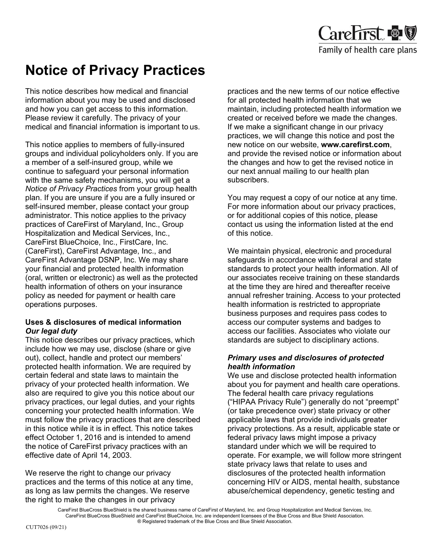

# **Notice of Privacy Practices**

This notice describes how medical and financial information about you may be used and disclosed and how you can get access to this information. Please review it carefully. The privacy of your medical and financial information is important to us.

This notice applies to members of fully-insured groups and individual policyholders only. If you are a member of a self-insured group, while we continue to safeguard your personal information with the same safety mechanisms, you will get a *Notice of Privacy Practices* from your group health plan. If you are unsure if you are a fully insured or self-insured member, please contact your group administrator. This notice applies to the privacy practices of CareFirst of Maryland, Inc., Group Hospitalization and Medical Services, Inc., CareFirst BlueChoice, Inc., FirstCare, Inc. (CareFirst), CareFirst Advantage, Inc., and CareFirst Advantage DSNP, Inc. We may share your financial and protected health information (oral, written or electronic) as well as the protected health information of others on your insurance policy as needed for payment or health care operations purposes.

# **Uses & disclosures of medical information** *Our legal duty*

This notice describes our privacy practices, which include how we may use, disclose (share or give out), collect, handle and protect our members' protected health information. We are required by certain federal and state laws to maintain the privacy of your protected health information. We also are required to give you this notice about our privacy practices, our legal duties, and your rights concerning your protected health information. We must follow the privacy practices that are described in this notice while it is in effect. This notice takes effect October 1, 2016 and is intended to amend the notice of CareFirst privacy practices with an effective date of April 14, 2003.

We reserve the right to change our privacy practices and the terms of this notice at any time, as long as law permits the changes. We reserve the right to make the changes in our privacy

practices and the new terms of our notice effective for all protected health information that we maintain, including protected health information we created or received before we made the changes. If we make a significant change in our privacy practices, we will change this notice and post the new notice on our website, **[www.carefirst.com](http://www.carefirst.com/)**, and provide the revised notice or information about the changes and how to get the revised notice in our next annual mailing to our health plan subscribers.

You may request a copy of our notice at any time. For more information about our privacy practices, or for additional copies of this notice, please contact us using the information listed at the end of this notice.

We maintain physical, electronic and procedural safeguards in accordance with federal and state standards to protect your health information. All of our associates receive training on these standards at the time they are hired and thereafter receive annual refresher training. Access to your protected health information is restricted to appropriate business purposes and requires pass codes to access our computer systems and badges to access our facilities. Associates who violate our standards are subject to disciplinary actions.

# *Primary uses and disclosures of protected health information*

We use and disclose protected health information about you for payment and health care operations. The federal health care privacy regulations ("HIPAA Privacy Rule") generally do not "preempt" (or take precedence over) state privacy or other applicable laws that provide individuals greater privacy protections. As a result, applicable state or federal privacy laws might impose a privacy standard under which we will be required to operate. For example, we will follow more stringent state privacy laws that relate to uses and disclosures of the protected health information concerning HIV or AIDS, mental health, substance abuse/chemical dependency, genetic testing and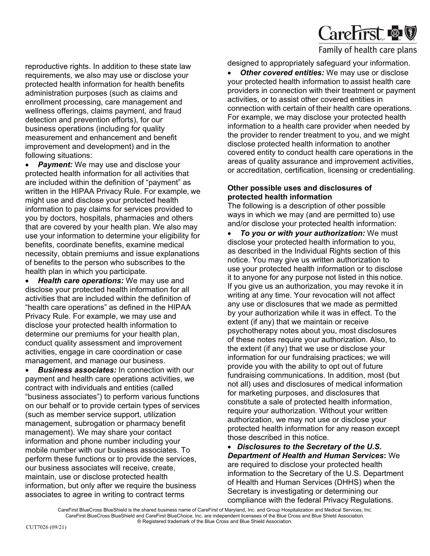

reproductive rights. In addition to these state law requirements, we also may use or disclose your protected health information for health benefits administration purposes (such as claims and enrollment processing, care management and wellness offerings, claims payment, and fraud detection and prevention efforts), for our business operations (including for quality measurement and enhancement and benefit improvement and development) and in the following situations:

• *Payment:* We may use and disclose your protected health information for all activities that are included within the definition of "payment" as written in the HIPAA Privacy Rule. For example, we might use and disclose your protected health information to pay claims for services provided to you by doctors, hospitals, pharmacies and others that are covered by your health plan. We also may use your information to determine your eligibility for benefits, coordinate benefits, examine medical necessity, obtain premiums and issue explanations of benefits to the person who subscribes to the health plan in which you participate.

• *Health care operations:* We may use and disclose your protected health information for all activities that are included within the definition of "health care operations" as defined in the HIPAA Privacy Rule. For example, we may use and disclose your protected health information to determine our premiums for your health plan, conduct quality assessment and improvement activities, engage in care coordination or case management, and manage our business.

**Business associates:** In connection with our payment and health care operations activities, we contract with individuals and entities (called "business associates") to perform various functions on our behalf or to provide certain types of services (such as member service support, utilization management, subrogation or pharmacy benefit management). We may share your contact information and phone number including your mobile number with our business associates. To perform these functions or to provide the services, our business associates will receive, create, maintain, use or disclose protected health information, but only after we require the business associates to agree in writing to contract terms

designed to appropriately safeguard your information.

**Other covered entities:** We may use or disclose your protected health information to assist health care providers in connection with their treatment or payment activities, or to assist other covered entities in connection with certain of their health care operations. For example, we may disclose your protected health information to a health care provider when needed by the provider to render treatment to you, and we might disclose protected health information to another covered entity to conduct health care operations in the areas of quality assurance and improvement activities, or accreditation, certification, licensing or credentialing.

#### **Other possible uses and disclosures of protected health information**

The following is a description of other possible ways in which we may (and are permitted to) use and/or disclose your protected health information:

• *To you or with your authorization:* We must disclose your protected health information to you, as described in the Individual Rights section of this notice. You may give us written authorization to use your protected health information or to disclose it to anyone for any purpose not listed in this notice. If you give us an authorization, you may revoke it in writing at any time. Your revocation will not affect any use or disclosures that we made as permitted by your authorization while it was in effect. To the extent (if any) that we maintain or receive psychotherapy notes about you, most disclosures of these notes require your authorization. Also, to the extent (if any) that we use or disclose your information for our fundraising practices; we will provide you with the ability to opt out of future fundraising communications. In addition, most (but not all) uses and disclosures of medical information for marketing purposes, and disclosures that constitute a sale of protected health information, require your authorization. Without your written authorization, we may not use or disclose your protected health information for any reason except those described in this notice.

• *Disclosures to the Secretary of the U.S. Department of Health and Human Services***:** We are required to disclose your protected health information to the Secretary of the U.S. Department of Health and Human Services (DHHS) when the Secretary is investigating or determining our compliance with the federal Privacy Regulations.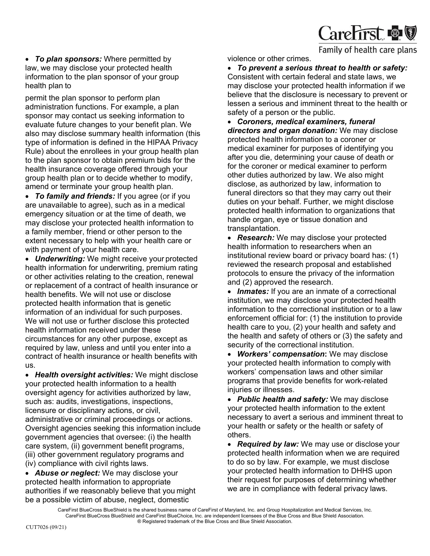

• *To plan sponsors:* Where permitted by law, we may disclose your protected health information to the plan sponsor of your group health plan to

permit the plan sponsor to perform plan administration functions. For example, a plan sponsor may contact us seeking information to evaluate future changes to your benefit plan. We also may disclose summary health information (this type of information is defined in the HIPAA Privacy Rule) about the enrollees in your group health plan to the plan sponsor to obtain premium bids for the health insurance coverage offered through your group health plan or to decide whether to modify, amend or terminate your group health plan.

• *To family and friends:* If you agree (or if you are unavailable to agree), such as in a medical emergency situation or at the time of death, we may disclose your protected health information to a family member, friend or other person to the extent necessary to help with your health care or with payment of your health care.

• *Underwriting:* We might receive your protected health information for underwriting, premium rating or other activities relating to the creation, renewal or replacement of a contract of health insurance or health benefits. We will not use or disclose protected health information that is genetic information of an individual for such purposes. We will not use or further disclose this protected health information received under these circumstances for any other purpose, except as required by law, unless and until you enter into a contract of health insurance or health benefits with us.

• *Health oversight activities:* We might disclose your protected health information to a health oversight agency for activities authorized by law, such as: audits, investigations, inspections, licensure or disciplinary actions, or civil, administrative or criminal proceedings or actions. Oversight agencies seeking this information include government agencies that oversee: (i) the health care system, (ii) government benefit programs, (iii) other government regulatory programs and (iv) compliance with civil rights laws.

• *Abuse or neglect:* We may disclose your protected health information to appropriate authorities if we reasonably believe that you might be a possible victim of abuse, neglect, domestic

violence or other crimes.

• *To prevent a serious threat to health or safety:*  Consistent with certain federal and state laws, we may disclose your protected health information if we believe that the disclosure is necessary to prevent or lessen a serious and imminent threat to the health or safety of a person or the public.

• *Coroners, medical examiners, funeral directors and organ donation:* We may disclose protected health information to a coroner or medical examiner for purposes of identifying you after you die, determining your cause of death or for the coroner or medical examiner to perform other duties authorized by law. We also might disclose, as authorized by law, information to funeral directors so that they may carry out their duties on your behalf. Further, we might disclose protected health information to organizations that handle organ, eye or tissue donation and transplantation.

• *Research:* We may disclose your protected health information to researchers when an institutional review board or privacy board has: (1) reviewed the research proposal and established protocols to ensure the privacy of the information and (2) approved the research.

• *Inmates:* If you are an inmate of a correctional institution, we may disclose your protected health information to the correctional institution or to a law enforcement official for: (1) the institution to provide health care to you, (2) your health and safety and the health and safety of others or (3) the safety and security of the correctional institution.

• *Workers' compensation***:** We may disclose your protected health information to comply with workers' compensation laws and other similar programs that provide benefits for work-related injuries or illnesses.

• *Public health and safety:* We may disclose your protected health information to the extent necessary to avert a serious and imminent threat to your health or safety or the health or safety of others.

• *Required by law:* We may use or disclose your protected health information when we are required to do so by law. For example, we must disclose your protected health information to DHHS upon their request for purposes of determining whether we are in compliance with federal privacy laws.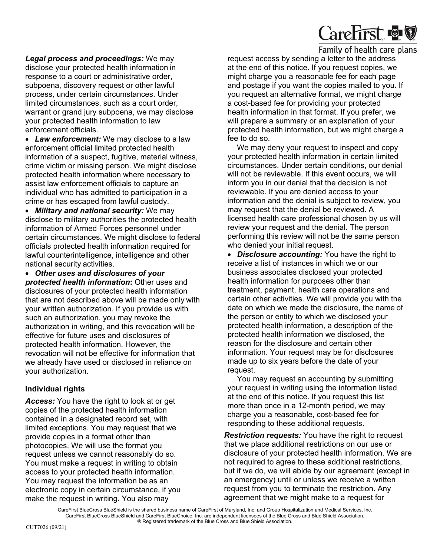

*Legal process and proceedings:* We may disclose your protected health information in response to a court or administrative order, subpoena, discovery request or other lawful process, under certain circumstances. Under limited circumstances, such as a court order, warrant or grand jury subpoena, we may disclose your protected health information to law enforcement officials.

• *Law enforcement:* We may disclose to a law enforcement official limited protected health information of a suspect, fugitive, material witness, crime victim or missing person. We might disclose protected health information where necessary to assist law enforcement officials to capture an individual who has admitted to participation in a crime or has escaped from lawful custody.

• *Military and national security:* We may disclose to military authorities the protected health information of Armed Forces personnel under certain circumstances. We might disclose to federal officials protected health information required for lawful counterintelligence, intelligence and other national security activities.

• *Other uses and disclosures of your protected health information***:** Other uses and disclosures of your protected health information that are not described above will be made only with your written authorization. If you provide us with such an authorization, you may revoke the authorization in writing, and this revocation will be effective for future uses and disclosures of protected health information. However, the revocation will not be effective for information that we already have used or disclosed in reliance on your authorization.

# **Individual rights**

*Access:* You have the right to look at or get copies of the protected health information contained in a designated record set, with limited exceptions. You may request that we provide copies in a format other than photocopies. We will use the format you request unless we cannot reasonably do so. You must make a request in writing to obtain access to your protected health information. You may request the information be as an electronic copy in certain circumstance, if you make the request in writing. You also may

request access by sending a letter to the address at the end of this notice. If you request copies, we might charge you a reasonable fee for each page and postage if you want the copies mailed to you. If you request an alternative format, we might charge a cost-based fee for providing your protected health information in that format. If you prefer, we will prepare a summary or an explanation of your protected health information, but we might charge a fee to do so.

We may deny your request to inspect and copy your protected health information in certain limited circumstances. Under certain conditions, our denial will not be reviewable. If this event occurs, we will inform you in our denial that the decision is not reviewable. If you are denied access to your information and the denial is subject to review, you may request that the denial be reviewed. A licensed health care professional chosen by us will review your request and the denial. The person performing this review will not be the same person who denied your initial request.

• *Disclosure accounting:* You have the right to receive a list of instances in which we or our business associates disclosed your protected health information for purposes other than treatment, payment, health care operations and certain other activities. We will provide you with the date on which we made the disclosure, the name of the person or entity to which we disclosed your protected health information, a description of the protected health information we disclosed, the reason for the disclosure and certain other information. Your request may be for disclosures made up to six years before the date of your request.

You may request an accounting by submitting your request in writing using the information listed at the end of this notice. If you request this list more than once in a 12-month period, we may charge you a reasonable, cost-based fee for responding to these additional requests.

*Restriction requests:* You have the right to request that we place additional restrictions on our use or disclosure of your protected health information. We are not required to agree to these additional restrictions, but if we do, we will abide by our agreement (except in an emergency) until or unless we receive a written request from you to terminate the restriction. Any agreement that we might make to a request for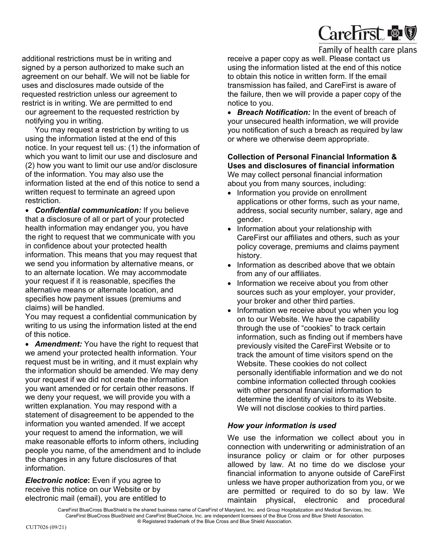

additional restrictions must be in writing and signed by a person authorized to make such an agreement on our behalf. We will not be liable for uses and disclosures made outside of the requested restriction unless our agreement to restrict is in writing. We are permitted to end our agreement to the requested restriction by notifying you in writing.

You may request a restriction by writing to us using the information listed at the end of this notice. In your request tell us: (1) the information of which you want to limit our use and disclosure and (2) how you want to limit our use and/or disclosure of the information. You may also use the information listed at the end of this notice to send a written request to terminate an agreed upon restriction.

• *Confidential communication:* If you believe that a disclosure of all or part of your protected health information may endanger you, you have the right to request that we communicate with you in confidence about your protected health information. This means that you may request that we send you information by alternative means, or to an alternate location. We may accommodate your request if it is reasonable, specifies the alternative means or alternate location, and specifies how payment issues (premiums and claims) will be handled.

You may request a confidential communication by writing to us using the information listed at the end of this notice.

• *Amendment:* You have the right to request that we amend your protected health information. Your request must be in writing, and it must explain why the information should be amended. We may deny your request if we did not create the information you want amended or for certain other reasons. If we deny your request, we will provide you with a written explanation. You may respond with a statement of disagreement to be appended to the information you wanted amended. If we accept your request to amend the information, we will make reasonable efforts to inform others, including people you name, of the amendment and to include the changes in any future disclosures of that information.

*Electronic notice*: Even if you agree to receive this notice on our Website or by electronic mail (email), you are entitled to receive a paper copy as well. Please contact us using the information listed at the end of this notice to obtain this notice in written form. If the email transmission has failed, and CareFirst is aware of the failure, then we will provide a paper copy of the notice to you.

• *Breach Notification:* In the event of breach of your unsecured health information, we will provide you notification of such a breach as required by law or where we otherwise deem appropriate.

**Collection of Personal Financial Information & Uses and disclosures of financial information**  We may collect personal financial information about you from many sources, including:

- Information you provide on enrollment applications or other forms, such as your name, address, social security number, salary, age and gender.
- Information about your relationship with CareFirst our affiliates and others, such as your policy coverage, premiums and claims payment history.
- Information as described above that we obtain from any of our affiliates.
- Information we receive about you from other sources such as your employer, your provider, your broker and other third parties.
- Information we receive about you when you log on to our Website. We have the capability through the use of "cookies" to track certain information, such as finding out if members have previously visited the CareFirst Website or to track the amount of time visitors spend on the Website. These cookies do not collect personally identifiable information and we do not combine information collected through cookies with other personal financial information to determine the identity of visitors to its Website. We will not disclose cookies to third parties.

# *How your information is used*

We use the information we collect about you in connection with underwriting or administration of an insurance policy or claim or for other purposes allowed by law. At no time do we disclose your financial information to anyone outside of CareFirst unless we have proper authorization from you, or we are permitted or required to do so by law. We maintain physical, electronic and procedural